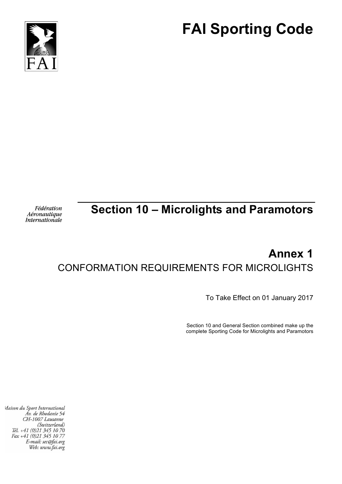



Fédération Aéronautique **Internationale** 

## **Section 10 – Microlights and Paramotors**

# **Annex 1** CONFORMATION REQUIREMENTS FOR MICROLIGHTS

To Take Effect on 01 January 2017

Section 10 and General Section combined make up the complete Sporting Code for Microlights and Paramotors

Maison du Sport International Áv. de Rhodanie 54 CH-1007 Lausanne (Switzerland) Tél. +41 (0)21 345 10 70 Fax +41 (0)21 345 10 77 E-mail: sec@fai.org Web: www.fai.org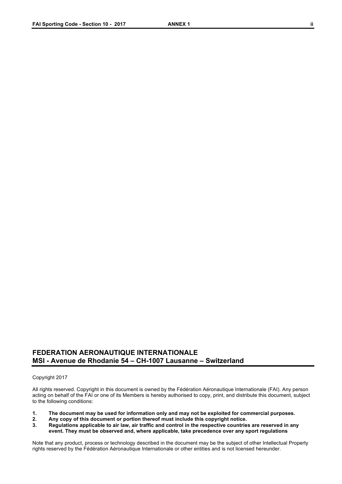### **FEDERATION AERONAUTIQUE INTERNATIONALE MSI - Avenue de Rhodanie 54 – CH-1007 Lausanne – Switzerland**

#### Copyright 2017

All rights reserved. Copyright in this document is owned by the Fédération Aéronautique Internationale (FAI). Any person acting on behalf of the FAI or one of its Members is hereby authorised to copy, print, and distribute this document, subject to the following conditions:

- **1. The document may be used for information only and may not be exploited for commercial purposes.**
- **2. Any copy of this document or portion thereof must include this copyright notice.**
- **3. Regulations applicable to air law, air traffic and control in the respective countries are reserved in any event. They must be observed and, where applicable, take precedence over any sport regulations**

Note that any product, process or technology described in the document may be the subject of other Intellectual Property rights reserved by the Fédération Aéronautique Internationale or other entities and is not licensed hereunder.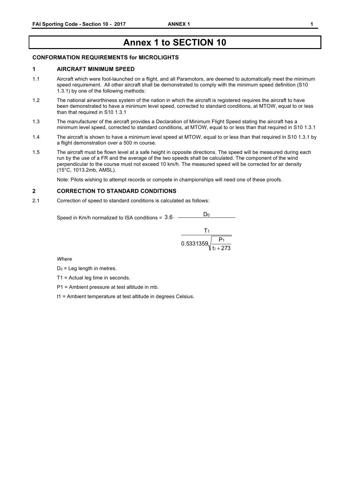## **Annex 1 to SECTION 10**

#### **CONFORMATION REQUIREMENTS for MICROLIGHTS**

#### **1 AIRCRAFT MINIMUM SPEED**

- 1.1 Aircraft which were foot-launched on a flight, and all Paramotors, are deemed to automatically meet the minimum speed requirement. All other aircraft shall be demonstrated to comply with the minimum speed definition (S10 1.3.1) by one of the following methods:
- 1.2 The national airworthiness system of the nation in which the aircraft is registered requires the aircraft to have been demonstrated to have a minimum level speed, corrected to standard conditions, at MTOW, equal to or less than that required in S10 1.3.1
- 1.3 The manufacturer of the aircraft provides a Declaration of Minimum Flight Speed stating the aircraft has a minimum level speed, corrected to standard conditions, at MTOW, equal to or less than that required in S10 1.3.1
- 1.4 The aircraft is shown to have a minimum level speed at MTOW, equal to or less than that required in S10 1.3.1 by a flight demonstration over a 500 m course.
- 1.5 The aircraft must be flown level at a safe height in opposite directions. The speed will be measured during each run by the use of a FR and the average of the two speeds shall be calculated. The component of the wind perpendicular to the course must not exceed 10 km/h. The measured speed will be corrected for air density (15°C, 1013.2mb, AMSL).

Note: Pilots wishing to attempt records or compete in championships will need one of these proofs.

#### **2 CORRECTION TO STANDARD CONDITIONS**

2.1 Correction of speed to standard conditions is calculated as follows:

Speed in Km/h normalized to ISA conditions =  $3.6 \cdot \frac{}{\text{D}}$  $D<sub>0</sub>$ 

$$
\frac{T_1}{0.5331359\sqrt{\frac{P_1}{t_1+273}}}
$$

*Where*

 $D_0$  = Leg length in metres.

T1 = Actual leg time in seconds.

P1 = Ambient pressure at test altitude in mb.

t1 = Ambient temperature at test altitude in degrees Celsius.